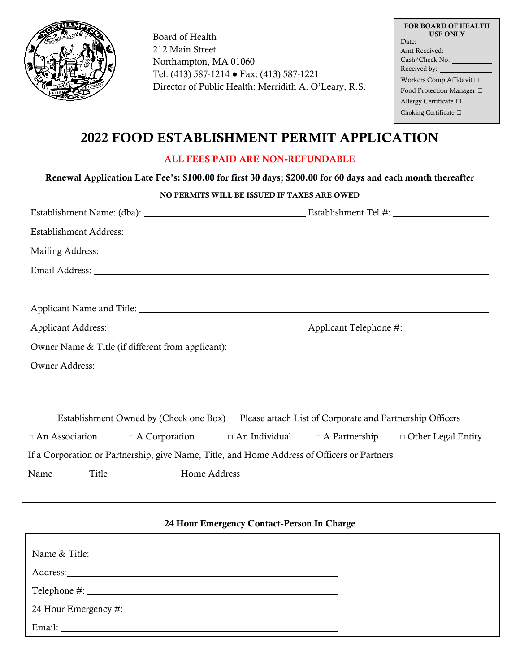

Board of Health 212 Main Street Northampton, MA 01060 Tel: (413) 587-1214 ● Fax: (413) 587-1221 Director of Public Health: Merridith A. O'Leary, R.S.

| <b>FOR BOARD OF HEALTH</b><br><b>USE ONLY</b> |  |  |  |  |  |
|-----------------------------------------------|--|--|--|--|--|
| Date:                                         |  |  |  |  |  |
| Amt Received:                                 |  |  |  |  |  |
| Cash/Check No:                                |  |  |  |  |  |
| Received by:                                  |  |  |  |  |  |
| Workers Comp Affidavit □                      |  |  |  |  |  |
| Food Protection Manager $\Box$                |  |  |  |  |  |
| Allergy Certificate $\Box$                    |  |  |  |  |  |
| Choking Certificate $\Box$                    |  |  |  |  |  |

# 2022 FOOD ESTABLISHMENT PERMIT APPLICATION

## ALL FEES PAID ARE NON-REFUNDABLE

## Renewal Application Late Fee's: \$100.00 for first 30 days; \$200.00 for 60 days and each month thereafter

## NO PERMITS WILL BE ISSUED IF TAXES ARE OWED

| Establishment Address: Lawrence and Contact and Contact and Contact and Contact and Contact and Contact and Contact and Contact and Contact and Contact and Contact and Contact and Contact and Contact and Contact and Contac |  |
|--------------------------------------------------------------------------------------------------------------------------------------------------------------------------------------------------------------------------------|--|
|                                                                                                                                                                                                                                |  |
|                                                                                                                                                                                                                                |  |
|                                                                                                                                                                                                                                |  |
|                                                                                                                                                                                                                                |  |
|                                                                                                                                                                                                                                |  |
| Owner Name & Title (if different from applicant):                                                                                                                                                                              |  |
| Owner Address: No. 2016. The Committee of the Committee of the Committee of the Committee of the Committee of the Committee of the Committee of the Committee of the Committee of the Committee of the Committee of the Commit |  |
|                                                                                                                                                                                                                                |  |

| Establishment Owned by (Check one Box)<br>Please attach List of Corporate and Partnership Officers |       |                      |                      |                      |                           |
|----------------------------------------------------------------------------------------------------|-------|----------------------|----------------------|----------------------|---------------------------|
| $\Box$ An Association                                                                              |       | $\Box$ A Corporation | $\Box$ An Individual | $\Box$ A Partnership | $\Box$ Other Legal Entity |
| If a Corporation or Partnership, give Name, Title, and Home Address of Officers or Partners        |       |                      |                      |                      |                           |
| Name                                                                                               | Title | Home Address         |                      |                      |                           |
|                                                                                                    |       |                      |                      |                      |                           |

#### 24 Hour Emergency Contact-Person In Charge